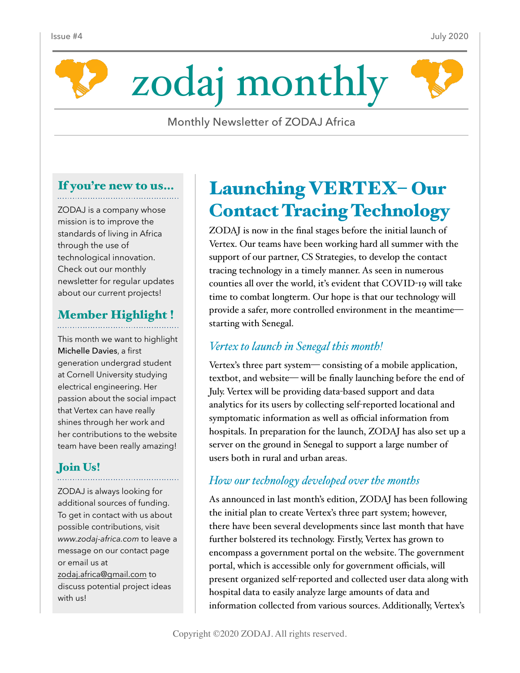



Monthly Newsletter of ZODAJ Africa

# If you're new to us…

ZODAJ is a company whose mission is to improve the standards of living in Africa through the use of technological innovation. Check out our monthly newsletter for regular updates about our current projects!

#### Member Highlight !

This month we want to highlight Michelle Davies, a first generation undergrad student at Cornell University studying electrical engineering. Her passion about the social impact that Vertex can have really shines through her work and her contributions to the website team have been really amazing!

### Join Us!

ZODAJ is always looking for additional sources of funding. To get in contact with us about possible contributions, visit *www.zodaj-africa.com* to leave a message on our contact page or email us at [zodaj.africa@gmail.com](mailto:zodaj.africa@gmail.com) to discuss potential project ideas with us!

# Launching VERTEX– Our Contact Tracing Technology

ZODAJ is now in the final stages before the initial launch of Vertex. Our teams have been working hard all summer with the support of our partner, CS Strategies, to develop the contact tracing technology in a timely manner. As seen in numerous counties all over the world, it's evident that COVID-19 will take time to combat longterm. Our hope is that our technology will provide a safer, more controlled environment in the meantime starting with Senegal.

#### *Vertex to launch in Senegal this month!*

Vertex's three part system— consisting of a mobile application, textbot, and website— will be finally launching before the end of July. Vertex will be providing data-based support and data analytics for its users by collecting self-reported locational and symptomatic information as well as official information from hospitals. In preparation for the launch, ZODAJ has also set up a server on the ground in Senegal to support a large number of users both in rural and urban areas.

### *How our technology developed over the months*

As announced in last month's edition, ZODAJ has been following the initial plan to create Vertex's three part system; however, there have been several developments since last month that have further bolstered its technology. Firstly, Vertex has grown to encompass a government portal on the website. The government portal, which is accessible only for government officials, will present organized self-reported and collected user data along with hospital data to easily analyze large amounts of data and information collected from various sources. Additionally, Vertex's